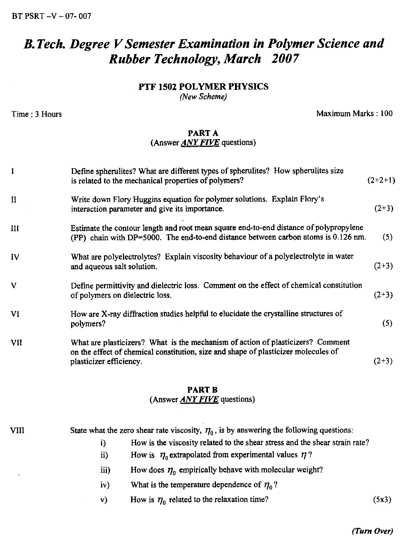BT PSRT —V — 07- 007

# *B. Tech. Degree V Semester Examination in Polymer Science and Rubber Technology, March 2007*

## PTF 1502 POLYMER PHYSICS

*(New Scheme)*

**Time : 3 Hours Maximum Marks : 100** 

# PART A (Answer *ANY FIVE* questions)

| I            | Define spherulites? What are different types of spherulites? How spherulites size<br>is related to the mechanical properties of polymers?                                                        | $(2+2+1)$ |  |
|--------------|--------------------------------------------------------------------------------------------------------------------------------------------------------------------------------------------------|-----------|--|
| Ħ            | Write down Flory Huggins equation for polymer solutions. Explain Flory's<br>interaction parameter and give its importance.                                                                       | $(2+3)$   |  |
| Ш            | Estimate the contour length and root mean square end-to-end distance of polypropylene<br>(PP) chain with DP=5000. The end-to-end distance between carbon atoms is 0.126 nm.                      |           |  |
| IV           | What are polyelectrolytes? Explain viscosity behaviour of a polyelectrolyte in water<br>and aqueous salt solution.                                                                               | $(2+3)$   |  |
| $\mathbf{V}$ | Define permittivity and dielectric loss. Comment on the effect of chemical constitution<br>of polymers on dielectric loss.                                                                       | $(2+3)$   |  |
| VI           | How are X-ray diffraction studies helpful to elucidate the crystalline structures of<br>polymers?                                                                                                | (5)       |  |
| VII          | What are plasticizers? What is the mechanism of action of plasticizers? Comment<br>on the effect of chemical constitution, size and shape of plasticizer molecules of<br>plasticizer efficiency. | $(2+3)$   |  |

### PART B (Answer *ANY FIVE* questions)

VIII State what the zero shear rate viscosity,  $\eta_0$ , is by answering the following questions: i) How is the viscosity related to the shear stress and the shear strain rate?

- How is  $\eta_0$  extrapolated from experimental values  $\eta$ ? ii)
- How does  $\eta_0$  empirically behave with molecular weight? iii)
- $iv)$ What is the temperature dependence of  $\eta_0$ ?
- v) How is  $\eta_0$  related to the relaxation time? (5x3)

#### *(Turn Over)*